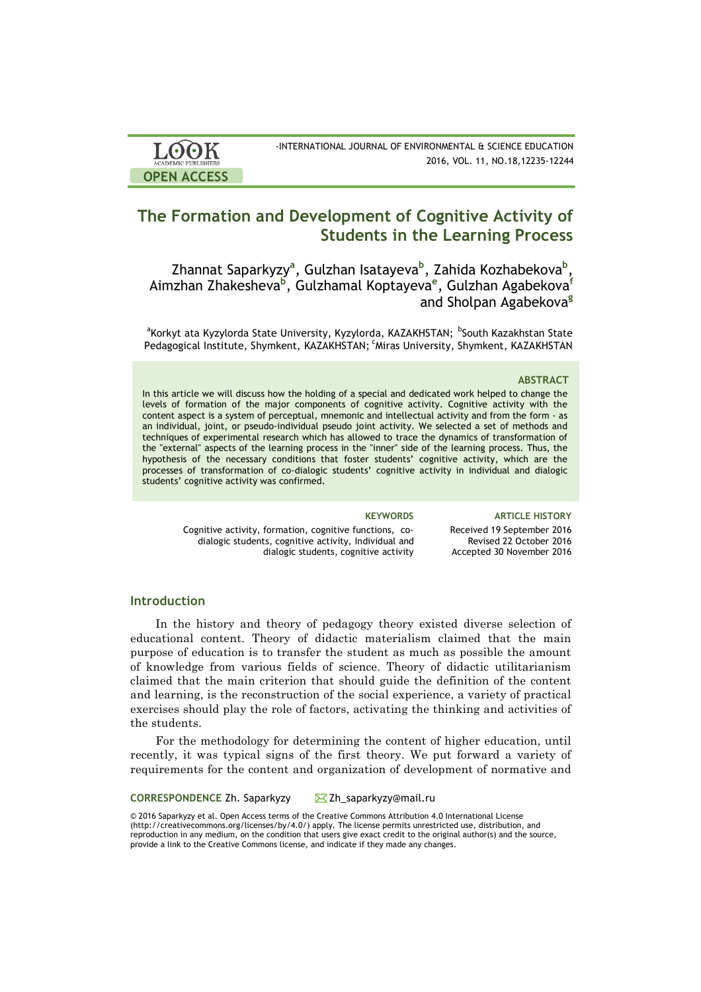



# **The Formation and Development of Cognitive Activity of Students in the Learning Process**

Zhannat Saparkyzy<sup>a</sup>, Gulzhan Isatayeva<sup>b</sup>, Zahida Kozhabekova<sup>b</sup>, Aimzhan Zhakesheva**<sup>b</sup>** , Gulzhamal Koptayeva**<sup>e</sup>** , Gulzhan Agabekova**<sup>f</sup>** and Sholpan Agabekova**<sup>g</sup>**

<sup>a</sup>Korkyt ata Kyzylorda State University, Kyzylorda, KAZAKHSTAN; <sup>b</sup>South Kazakhstan State Pedagogical Institute, Shymkent, KAZAKHSTAN; <sup>c</sup>Miras University, Shymkent, KAZAKHSTAN

#### **ABSTRACT**

In this article we will discuss how the holding of a special and dedicated work helped to change the levels of formation of the major components of cognitive activity. Cognitive activity with the content aspect is a system of perceptual, mnemonic and intellectual activity and from the form - as an individual, joint, or pseudo-individual pseudo joint activity. We selected a set of methods and techniques of experimental research which has allowed to trace the dynamics of transformation of the "external" aspects of the learning process in the "inner" side of the learning process. Thus, the hypothesis of the necessary conditions that foster students' cognitive activity, which are the processes of transformation of co-dialogic students' cognitive activity in individual and dialogic students' cognitive activity was confirmed.

Cognitive activity, formation, cognitive functions, codialogic students, cognitive activity, Individual and dialogic students, cognitive activity

**KEYWORDS ARTICLE HISTORY** Received 19 September 2016 Revised 22 October 2016 Accepted 30 November 2016

## **Introduction**

In the history and theory of pedagogy theory existed diverse selection of educational content. Theory of didactic materialism claimed that the main purpose of education is to transfer the student as much as possible the amount of knowledge from various fields of science. Theory of didactic utilitarianism claimed that the main criterion that should guide the definition of the content and learning, is the reconstruction of the social experience, a variety of practical exercises should play the role of factors, activating the thinking and activities of the students.

For the methodology for determining the content of higher education, until recently, it was typical signs of the first theory. We put forward a variety of requirements for the content and organization of development of normative and

## **CORRESPONDENCE** Zh. Saparkyzy Zh\_saparkyzy@mail.ru

© 2016 Saparkyzy et al. Open Access terms of the Creative Commons Attribution 4.0 International License (http://creativecommons.org/licenses/by/4.0/) apply. The license permits unrestricted use, distribution, and reproduction in any medium, on the condition that users give exact credit to the original author(s) and the source, provide a link to the Creative Commons license, and indicate if they made any changes.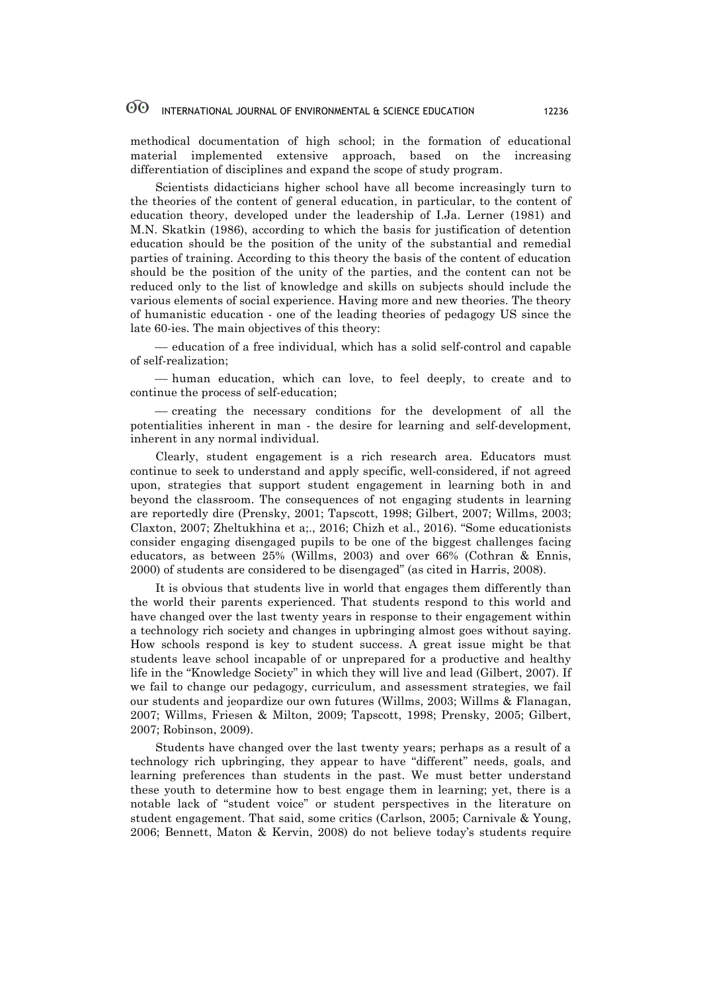methodical documentation of high school; in the formation of educational material implemented extensive approach, based on the increasing differentiation of disciplines and expand the scope of study program.

Scientists didacticians higher school have all become increasingly turn to the theories of the content of general education, in particular, to the content of education theory, developed under the leadership of I.Ja. Lerner (1981) and M.N. Skatkin (1986), according to which the basis for justification of detention education should be the position of the unity of the substantial and remedial parties of training. According to this theory the basis of the content of education should be the position of the unity of the parties, and the content can not be reduced only to the list of knowledge and skills on subjects should include the various elements of social experience. Having more and new theories. The theory of humanistic education - one of the leading theories of pedagogy US since the late 60-ies. The main objectives of this theory:

¾ education of a free individual, which has a solid self-control and capable of self-realization;

— human education, which can love, to feel deeply, to create and to continue the process of self-education;

¾ creating the necessary conditions for the development of all the potentialities inherent in man - the desire for learning and self-development, inherent in any normal individual.

Clearly, student engagement is a rich research area. Educators must continue to seek to understand and apply specific, well-considered, if not agreed upon, strategies that support student engagement in learning both in and beyond the classroom. The consequences of not engaging students in learning are reportedly dire (Prensky, 2001; Tapscott, 1998; Gilbert, 2007; Willms, 2003; Claxton, 2007; Zheltukhina et a;., 2016; Chizh et al., 2016). "Some educationists consider engaging disengaged pupils to be one of the biggest challenges facing educators, as between 25% (Willms, 2003) and over 66% (Cothran & Ennis, 2000) of students are considered to be disengaged" (as cited in Harris, 2008).

It is obvious that students live in world that engages them differently than the world their parents experienced. That students respond to this world and have changed over the last twenty years in response to their engagement within a technology rich society and changes in upbringing almost goes without saying. How schools respond is key to student success. A great issue might be that students leave school incapable of or unprepared for a productive and healthy life in the "Knowledge Society" in which they will live and lead (Gilbert, 2007). If we fail to change our pedagogy, curriculum, and assessment strategies, we fail our students and jeopardize our own futures (Willms, 2003; Willms & Flanagan, 2007; Willms, Friesen & Milton, 2009; Tapscott, 1998; Prensky, 2005; Gilbert, 2007; Robinson, 2009).

Students have changed over the last twenty years; perhaps as a result of a technology rich upbringing, they appear to have "different" needs, goals, and learning preferences than students in the past. We must better understand these youth to determine how to best engage them in learning; yet, there is a notable lack of "student voice" or student perspectives in the literature on student engagement. That said, some critics (Carlson, 2005; Carnivale & Young, 2006; Bennett, Maton & Kervin, 2008) do not believe today's students require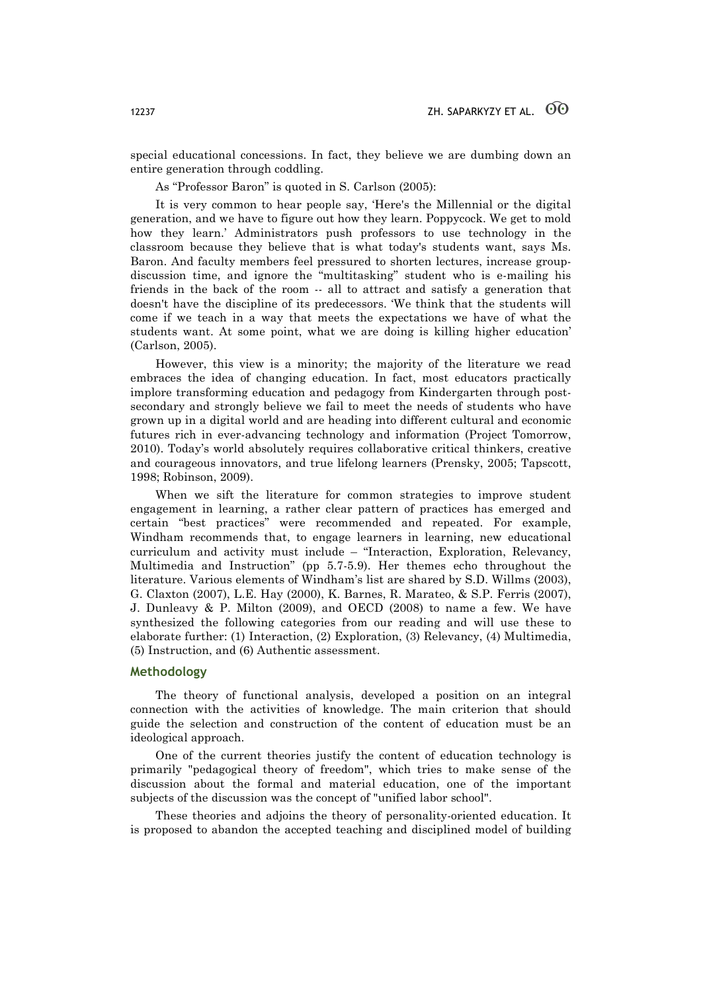special educational concessions. In fact, they believe we are dumbing down an entire generation through coddling.

As "Professor Baron" is quoted in S. Carlson (2005):

It is very common to hear people say, 'Here's the Millennial or the digital generation, and we have to figure out how they learn. Poppycock. We get to mold how they learn.' Administrators push professors to use technology in the classroom because they believe that is what today's students want, says Ms. Baron. And faculty members feel pressured to shorten lectures, increase groupdiscussion time, and ignore the "multitasking" student who is e-mailing his friends in the back of the room -- all to attract and satisfy a generation that doesn't have the discipline of its predecessors. 'We think that the students will come if we teach in a way that meets the expectations we have of what the students want. At some point, what we are doing is killing higher education' (Carlson, 2005).

However, this view is a minority; the majority of the literature we read embraces the idea of changing education. In fact, most educators practically implore transforming education and pedagogy from Kindergarten through postsecondary and strongly believe we fail to meet the needs of students who have grown up in a digital world and are heading into different cultural and economic futures rich in ever-advancing technology and information (Project Tomorrow, 2010). Today's world absolutely requires collaborative critical thinkers, creative and courageous innovators, and true lifelong learners (Prensky, 2005; Tapscott, 1998; Robinson, 2009).

When we sift the literature for common strategies to improve student engagement in learning, a rather clear pattern of practices has emerged and certain "best practices" were recommended and repeated. For example, Windham recommends that, to engage learners in learning, new educational curriculum and activity must include – "Interaction, Exploration, Relevancy, Multimedia and Instruction" (pp 5.7-5.9). Her themes echo throughout the literature. Various elements of Windham's list are shared by S.D. Willms (2003), G. Claxton (2007), L.E. Hay (2000), K. Barnes, R. Marateo, & S.P. Ferris (2007), J. Dunleavy & P. Milton (2009), and OECD (2008) to name a few. We have synthesized the following categories from our reading and will use these to elaborate further: (1) Interaction, (2) Exploration, (3) Relevancy, (4) Multimedia, (5) Instruction, and (6) Authentic assessment.

## **Methodology**

The theory of functional analysis, developed a position on an integral connection with the activities of knowledge. The main criterion that should guide the selection and construction of the content of education must be an ideological approach.

One of the current theories justify the content of education technology is primarily "pedagogical theory of freedom", which tries to make sense of the discussion about the formal and material education, one of the important subjects of the discussion was the concept of "unified labor school".

These theories and adjoins the theory of personality-oriented education. It is proposed to abandon the accepted teaching and disciplined model of building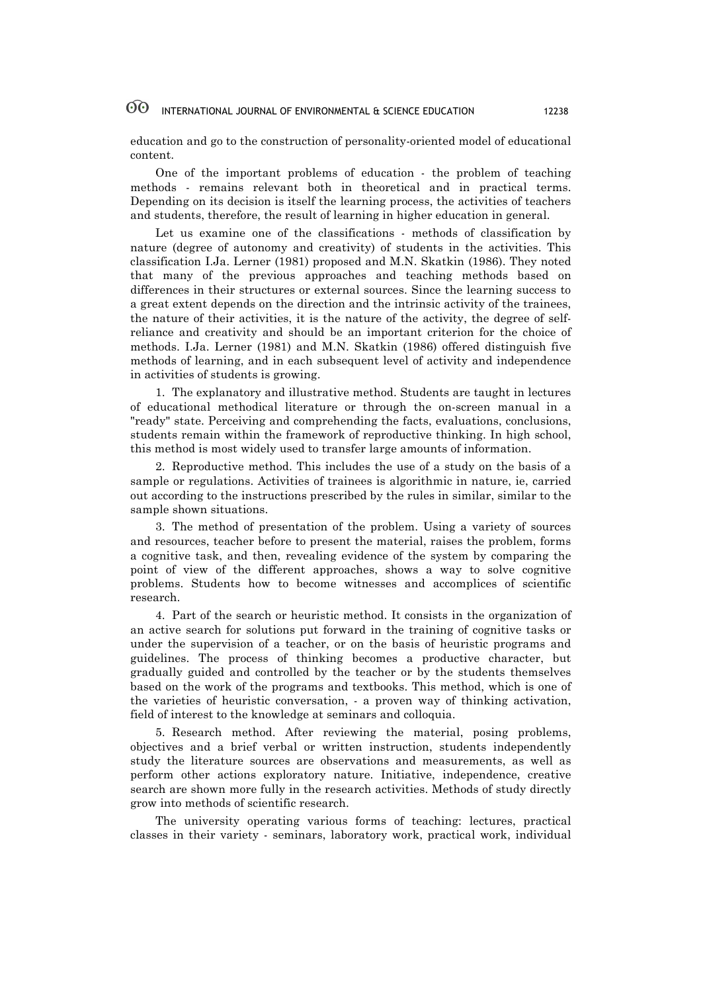education and go to the construction of personality-oriented model of educational content.

One of the important problems of education - the problem of teaching methods - remains relevant both in theoretical and in practical terms. Depending on its decision is itself the learning process, the activities of teachers and students, therefore, the result of learning in higher education in general.

Let us examine one of the classifications - methods of classification by nature (degree of autonomy and creativity) of students in the activities. This classification I.Ja. Lerner (1981) proposed and M.N. Skatkin (1986). They noted that many of the previous approaches and teaching methods based on differences in their structures or external sources. Since the learning success to a great extent depends on the direction and the intrinsic activity of the trainees, the nature of their activities, it is the nature of the activity, the degree of selfreliance and creativity and should be an important criterion for the choice of methods. I.Ja. Lerner (1981) and M.N. Skatkin (1986) offered distinguish five methods of learning, and in each subsequent level of activity and independence in activities of students is growing.

1. The explanatory and illustrative method. Students are taught in lectures of educational methodical literature or through the on-screen manual in a "ready" state. Perceiving and comprehending the facts, evaluations, conclusions, students remain within the framework of reproductive thinking. In high school, this method is most widely used to transfer large amounts of information.

2. Reproductive method. This includes the use of a study on the basis of a sample or regulations. Activities of trainees is algorithmic in nature, ie, carried out according to the instructions prescribed by the rules in similar, similar to the sample shown situations.

3. The method of presentation of the problem. Using a variety of sources and resources, teacher before to present the material, raises the problem, forms a cognitive task, and then, revealing evidence of the system by comparing the point of view of the different approaches, shows a way to solve cognitive problems. Students how to become witnesses and accomplices of scientific research.

4. Part of the search or heuristic method. It consists in the organization of an active search for solutions put forward in the training of cognitive tasks or under the supervision of a teacher, or on the basis of heuristic programs and guidelines. The process of thinking becomes a productive character, but gradually guided and controlled by the teacher or by the students themselves based on the work of the programs and textbooks. This method, which is one of the varieties of heuristic conversation, - a proven way of thinking activation, field of interest to the knowledge at seminars and colloquia.

5. Research method. After reviewing the material, posing problems, objectives and a brief verbal or written instruction, students independently study the literature sources are observations and measurements, as well as perform other actions exploratory nature. Initiative, independence, creative search are shown more fully in the research activities. Methods of study directly grow into methods of scientific research.

The university operating various forms of teaching: lectures, practical classes in their variety - seminars, laboratory work, practical work, individual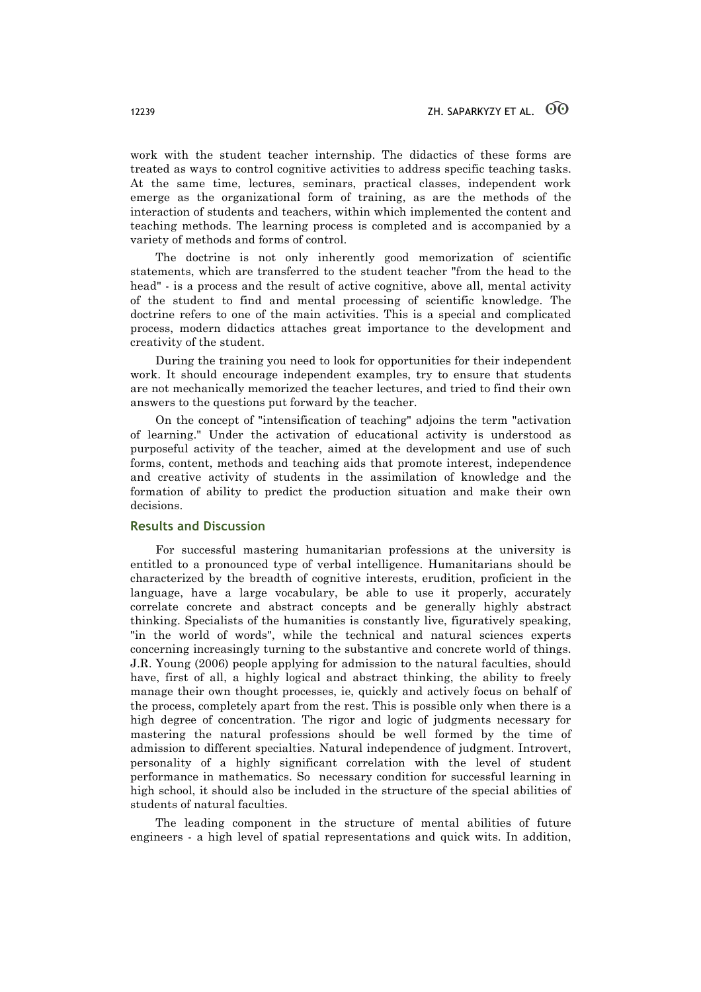work with the student teacher internship. The didactics of these forms are treated as ways to control cognitive activities to address specific teaching tasks. At the same time, lectures, seminars, practical classes, independent work emerge as the organizational form of training, as are the methods of the interaction of students and teachers, within which implemented the content and teaching methods. The learning process is completed and is accompanied by a variety of methods and forms of control.

The doctrine is not only inherently good memorization of scientific statements, which are transferred to the student teacher "from the head to the head" - is a process and the result of active cognitive, above all, mental activity of the student to find and mental processing of scientific knowledge. The doctrine refers to one of the main activities. This is a special and complicated process, modern didactics attaches great importance to the development and creativity of the student.

During the training you need to look for opportunities for their independent work. It should encourage independent examples, try to ensure that students are not mechanically memorized the teacher lectures, and tried to find their own answers to the questions put forward by the teacher.

On the concept of "intensification of teaching" adjoins the term "activation of learning." Under the activation of educational activity is understood as purposeful activity of the teacher, aimed at the development and use of such forms, content, methods and teaching aids that promote interest, independence and creative activity of students in the assimilation of knowledge and the formation of ability to predict the production situation and make their own decisions.

## **Results and Discussion**

For successful mastering humanitarian professions at the university is entitled to a pronounced type of verbal intelligence. Humanitarians should be characterized by the breadth of cognitive interests, erudition, proficient in the language, have a large vocabulary, be able to use it properly, accurately correlate concrete and abstract concepts and be generally highly abstract thinking. Specialists of the humanities is constantly live, figuratively speaking, "in the world of words", while the technical and natural sciences experts concerning increasingly turning to the substantive and concrete world of things. J.R. Young (2006) people applying for admission to the natural faculties, should have, first of all, a highly logical and abstract thinking, the ability to freely manage their own thought processes, ie, quickly and actively focus on behalf of the process, completely apart from the rest. This is possible only when there is a high degree of concentration. The rigor and logic of judgments necessary for mastering the natural professions should be well formed by the time of admission to different specialties. Natural independence of judgment. Introvert, personality of a highly significant correlation with the level of student performance in mathematics. So necessary condition for successful learning in high school, it should also be included in the structure of the special abilities of students of natural faculties.

The leading component in the structure of mental abilities of future engineers - a high level of spatial representations and quick wits. In addition,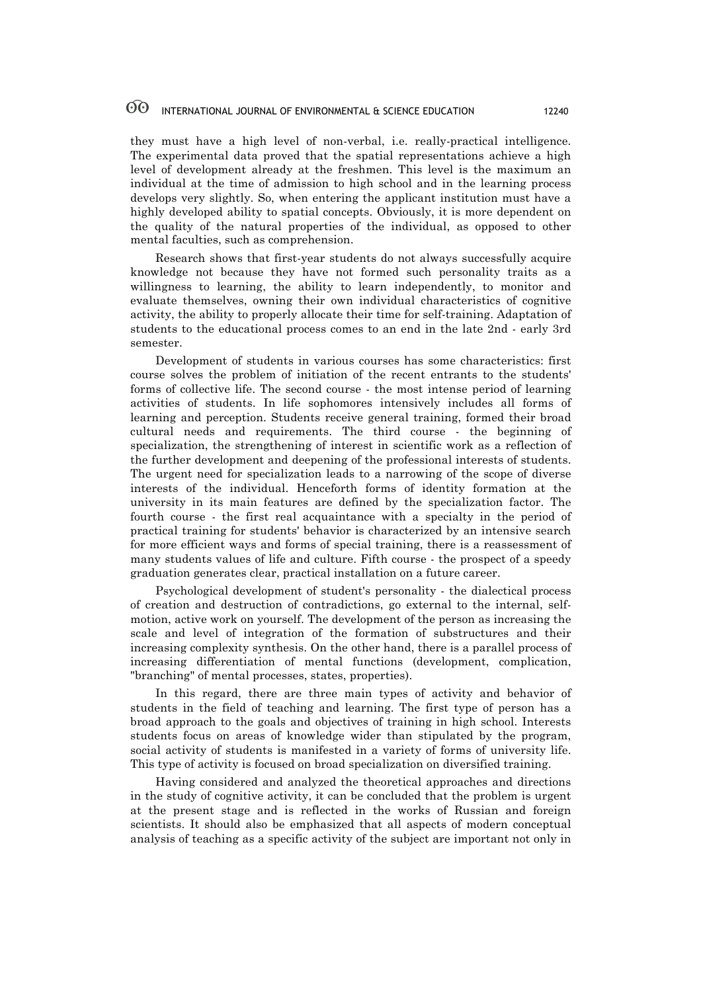they must have a high level of non-verbal, i.e. really-practical intelligence. The experimental data proved that the spatial representations achieve a high level of development already at the freshmen. This level is the maximum an individual at the time of admission to high school and in the learning process develops very slightly. So, when entering the applicant institution must have a highly developed ability to spatial concepts. Obviously, it is more dependent on the quality of the natural properties of the individual, as opposed to other mental faculties, such as comprehension.

Research shows that first-year students do not always successfully acquire knowledge not because they have not formed such personality traits as a willingness to learning, the ability to learn independently, to monitor and evaluate themselves, owning their own individual characteristics of cognitive activity, the ability to properly allocate their time for self-training. Adaptation of students to the educational process comes to an end in the late 2nd - early 3rd semester.

Development of students in various courses has some characteristics: first course solves the problem of initiation of the recent entrants to the students' forms of collective life. The second course - the most intense period of learning activities of students. In life sophomores intensively includes all forms of learning and perception. Students receive general training, formed their broad cultural needs and requirements. The third course - the beginning of specialization, the strengthening of interest in scientific work as a reflection of the further development and deepening of the professional interests of students. The urgent need for specialization leads to a narrowing of the scope of diverse interests of the individual. Henceforth forms of identity formation at the university in its main features are defined by the specialization factor. The fourth course - the first real acquaintance with a specialty in the period of practical training for students' behavior is characterized by an intensive search for more efficient ways and forms of special training, there is a reassessment of many students values of life and culture. Fifth course - the prospect of a speedy graduation generates clear, practical installation on a future career.

Psychological development of student's personality - the dialectical process of creation and destruction of contradictions, go external to the internal, selfmotion, active work on yourself. The development of the person as increasing the scale and level of integration of the formation of substructures and their increasing complexity synthesis. On the other hand, there is a parallel process of increasing differentiation of mental functions (development, complication, "branching" of mental processes, states, properties).

In this regard, there are three main types of activity and behavior of students in the field of teaching and learning. The first type of person has a broad approach to the goals and objectives of training in high school. Interests students focus on areas of knowledge wider than stipulated by the program, social activity of students is manifested in a variety of forms of university life. This type of activity is focused on broad specialization on diversified training.

Having considered and analyzed the theoretical approaches and directions in the study of cognitive activity, it can be concluded that the problem is urgent at the present stage and is reflected in the works of Russian and foreign scientists. It should also be emphasized that all aspects of modern conceptual analysis of teaching as a specific activity of the subject are important not only in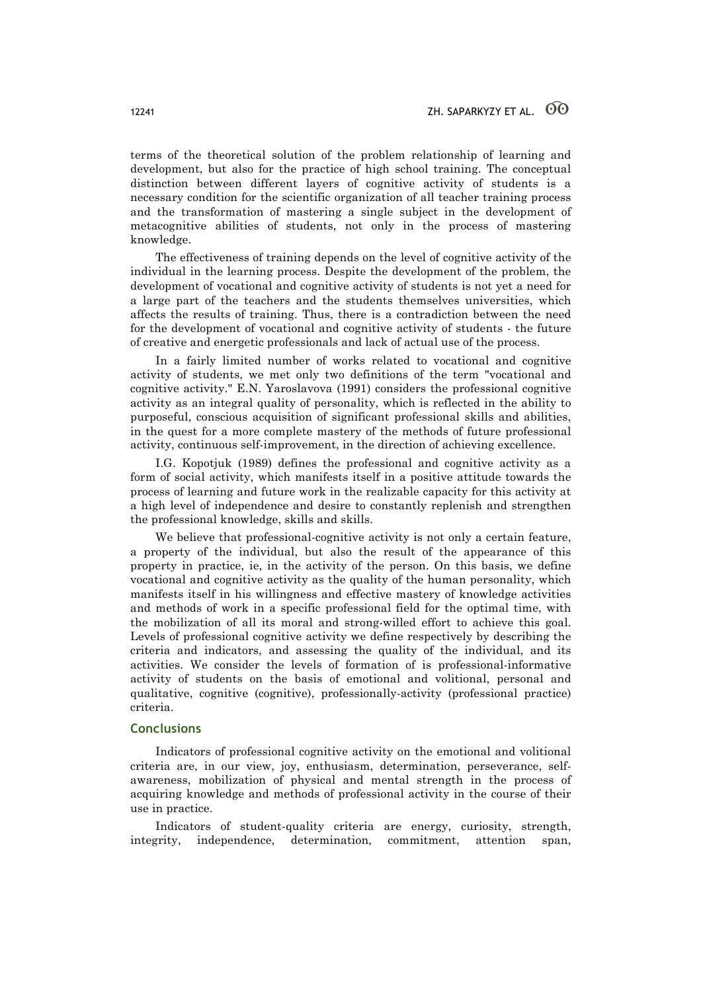terms of the theoretical solution of the problem relationship of learning and development, but also for the practice of high school training. The conceptual distinction between different layers of cognitive activity of students is a necessary condition for the scientific organization of all teacher training process and the transformation of mastering a single subject in the development of metacognitive abilities of students, not only in the process of mastering knowledge.

The effectiveness of training depends on the level of cognitive activity of the individual in the learning process. Despite the development of the problem, the development of vocational and cognitive activity of students is not yet a need for a large part of the teachers and the students themselves universities, which affects the results of training. Thus, there is a contradiction between the need for the development of vocational and cognitive activity of students - the future of creative and energetic professionals and lack of actual use of the process.

In a fairly limited number of works related to vocational and cognitive activity of students, we met only two definitions of the term "vocational and cognitive activity." E.N. Yaroslavova (1991) considers the professional cognitive activity as an integral quality of personality, which is reflected in the ability to purposeful, conscious acquisition of significant professional skills and abilities, in the quest for a more complete mastery of the methods of future professional activity, continuous self-improvement, in the direction of achieving excellence.

I.G. Kopotjuk (1989) defines the professional and cognitive activity as a form of social activity, which manifests itself in a positive attitude towards the process of learning and future work in the realizable capacity for this activity at a high level of independence and desire to constantly replenish and strengthen the professional knowledge, skills and skills.

We believe that professional-cognitive activity is not only a certain feature, a property of the individual, but also the result of the appearance of this property in practice, ie, in the activity of the person. On this basis, we define vocational and cognitive activity as the quality of the human personality, which manifests itself in his willingness and effective mastery of knowledge activities and methods of work in a specific professional field for the optimal time, with the mobilization of all its moral and strong-willed effort to achieve this goal. Levels of professional cognitive activity we define respectively by describing the criteria and indicators, and assessing the quality of the individual, and its activities. We consider the levels of formation of is professional-informative activity of students on the basis of emotional and volitional, personal and qualitative, cognitive (cognitive), professionally-activity (professional practice) criteria.

## **Conclusions**

Indicators of professional cognitive activity on the emotional and volitional criteria are, in our view, joy, enthusiasm, determination, perseverance, selfawareness, mobilization of physical and mental strength in the process of acquiring knowledge and methods of professional activity in the course of their use in practice.

Indicators of student-quality criteria are energy, curiosity, strength, integrity, independence, determination, commitment, attention span,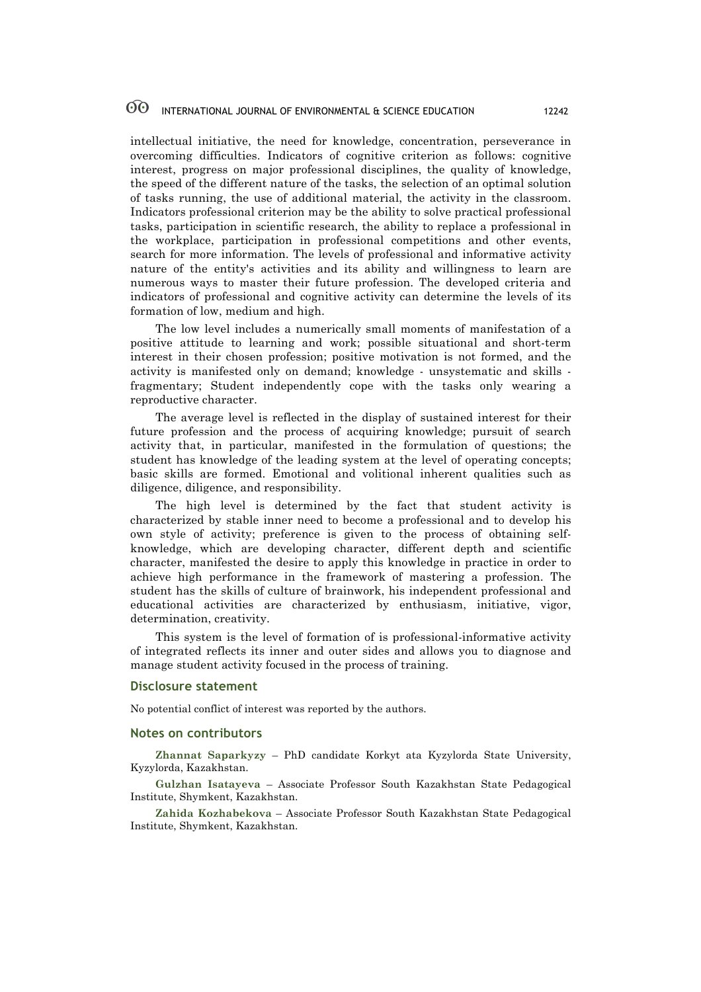intellectual initiative, the need for knowledge, concentration, perseverance in overcoming difficulties. Indicators of cognitive criterion as follows: cognitive interest, progress on major professional disciplines, the quality of knowledge, the speed of the different nature of the tasks, the selection of an optimal solution of tasks running, the use of additional material, the activity in the classroom. Indicators professional criterion may be the ability to solve practical professional tasks, participation in scientific research, the ability to replace a professional in the workplace, participation in professional competitions and other events, search for more information. The levels of professional and informative activity nature of the entity's activities and its ability and willingness to learn are numerous ways to master their future profession. The developed criteria and indicators of professional and cognitive activity can determine the levels of its formation of low, medium and high.

The low level includes a numerically small moments of manifestation of a positive attitude to learning and work; possible situational and short-term interest in their chosen profession; positive motivation is not formed, and the activity is manifested only on demand; knowledge - unsystematic and skills fragmentary; Student independently cope with the tasks only wearing a reproductive character.

The average level is reflected in the display of sustained interest for their future profession and the process of acquiring knowledge; pursuit of search activity that, in particular, manifested in the formulation of questions; the student has knowledge of the leading system at the level of operating concepts; basic skills are formed. Emotional and volitional inherent qualities such as diligence, diligence, and responsibility.

The high level is determined by the fact that student activity is characterized by stable inner need to become a professional and to develop his own style of activity; preference is given to the process of obtaining selfknowledge, which are developing character, different depth and scientific character, manifested the desire to apply this knowledge in practice in order to achieve high performance in the framework of mastering a profession. The student has the skills of culture of brainwork, his independent professional and educational activities are characterized by enthusiasm, initiative, vigor, determination, creativity.

This system is the level of formation of is professional-informative activity of integrated reflects its inner and outer sides and allows you to diagnose and manage student activity focused in the process of training.

#### **Disclosure statement**

No potential conflict of interest was reported by the authors.

#### **Notes on contributors**

**Zhannat Saparkyzy** – PhD candidate Korkyt ata Kyzylorda State University, Kyzylorda, Kazakhstan.

**Gulzhan Isatayeva** – Associate Professor South Kazakhstan State Pedagogical Institute, Shymkent, Kazakhstan.

**Zahida Kozhabekova** – Associate Professor South Kazakhstan State Pedagogical Institute, Shymkent, Kazakhstan.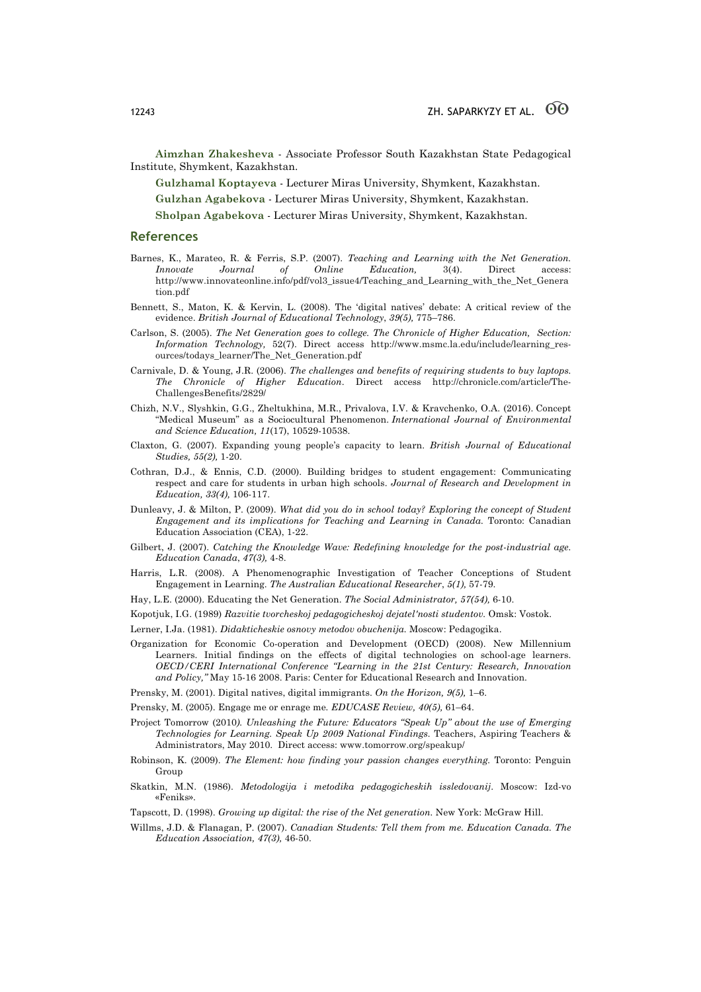**Aimzhan Zhakesheva** - Associate Professor South Kazakhstan State Pedagogical Institute, Shymkent, Kazakhstan.

**Gulzhamal Koptayeva** - Lecturer Miras University, Shymkent, Kazakhstan.

**Gulzhan Agabekova** - Lecturer Miras University, Shymkent, Kazakhstan.

**Sholpan Agabekova** - Lecturer Miras University, Shymkent, Kazakhstan.

#### **References**

- Barnes, K., Marateo, R. & Ferris, S.P. (2007). *Teaching and Learning with the Net Generation. Innovate Journal of Online Education,* 3(4). Direct access: http://www.innovateonline.info/pdf/vol3\_issue4/Teaching\_and\_Learning\_with\_the\_Net\_Genera tion.pdf
- Bennett, S., Maton, K. & Kervin, L. (2008). The 'digital natives' debate: A critical review of the evidence. *British Journal of Educational Technology*, *39(5),* 775–786.
- Carlson, S. (2005). *The Net Generation goes to college. The Chronicle of Higher Education, Section: Information Technology,* 52(7). Direct access http://www.msmc.la.edu/include/learning\_resources/todays\_learner/The\_Net\_Generation.pdf
- Carnivale, D. & Young, J.R. (2006). *The challenges and benefits of requiring students to buy laptops. The Chronicle of Higher Education*. Direct access http://chronicle.com/article/The-ChallengesBenefits/2829/
- Chizh, N.V., Slyshkin, G.G., Zheltukhina, M.R., Privalova, I.V. & Kravchenko, O.A. (2016). Concept "Medical Museum" as a Sociocultural Phenomenon. *International Journal of Environmental and Science Education, 11*(17), 10529-10538.
- Claxton, G. (2007). Expanding young people's capacity to learn. *British Journal of Educational Studies, 55(2),* 1-20.
- Cothran, D.J., & Ennis, C.D. (2000). Building bridges to student engagement: Communicating respect and care for students in urban high schools. *Journal of Research and Development in Education, 33(4),* 106-117.
- Dunleavy, J. & Milton, P. (2009). *What did you do in school today? Exploring the concept of Student Engagement and its implications for Teaching and Learning in Canada.* Toronto: Canadian Education Association (CEA), 1-22.
- Gilbert, J. (2007). *Catching the Knowledge Wave: Redefining knowledge for the post-industrial age. Education Canada*, *47(3),* 4-8.
- Harris, L.R. (2008). A Phenomenographic Investigation of Teacher Conceptions of Student Engagement in Learning. *The Australian Educational Researcher*, *5(1),* 57-79.
- Hay, L.E. (2000). Educating the Net Generation. *The Social Administrator, 57(54),* 6-10.
- Kopotjuk, I.G. (1989) *Razvitie tvorcheskoj pedagogicheskoj dejatel'nosti studentov.* Omsk: Vostok.
- Lerner, I.Ja. (1981). *Didakticheskie osnovy metodov obuchenija.* Moscow: Pedagogika.
- Organization for Economic Co-operation and Development (OECD) (2008). New Millennium Learners. Initial findings on the effects of digital technologies on school-age learners. *OECD/CERI International Conference "Learning in the 21st Century: Research, Innovation and Policy,"* May 15-16 2008. Paris: Center for Educational Research and Innovation.
- Prensky, M. (2001). Digital natives, digital immigrants. *On the Horizon, 9(5),* 1–6.
- Prensky, M. (2005). Engage me or enrage me*. EDUCASE Review, 40(5),* 61–64.
- Project Tomorrow (2010*). Unleashing the Future: Educators "Speak Up" about the use of Emerging Technologies for Learning. Speak Up 2009 National Findings.* Teachers, Aspiring Teachers & Administrators, May 2010. Direct access: www.tomorrow.org/speakup/
- Robinson, K. (2009). *The Element: how finding your passion changes everything.* Toronto: Penguin Group
- Skatkin, M.N. (1986). *Metodologija i metodika pedagogicheskih issledovanij*. Moscow: Izd-vo «Feniks».
- Tapscott, D. (1998). *Growing up digital: the rise of the Net generation.* New York: McGraw Hill.
- Willms, J.D. & Flanagan, P. (2007). *Canadian Students: Tell them from me. Education Canada. The Education Association, 47(3),* 46-50.